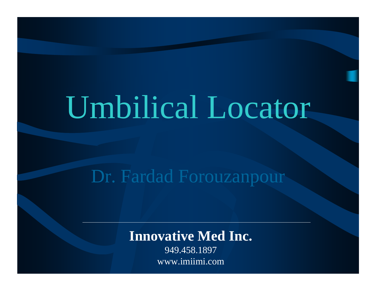## Umbilical Locator

## Dr. Fardad Forouzanpour

## **Innovative Med Inc.**

949.458.1897 www.imiimi.com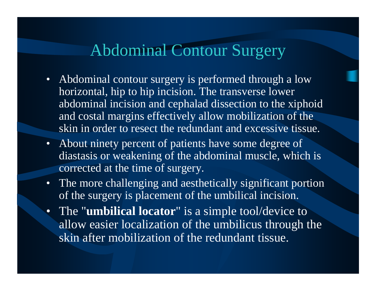## Abdominal Contour Surgery

- Abdominal contour surgery is performed through a low horizontal, hip to hip incision. The transverse lower abdominal incision and cephalad dissection to the xiphoid and costal margins effectively allow mobilization of the skin in order to resect the redundant and excessive tissue.
- About ninety percent of patients have some degree of diastasis or weakening of the abdominal muscle, which is corrected at the time of surgery.
- The more challenging and aesthetically significant portion of the surgery is placement of the umbilical incision.
- The "**umbilical locator**" is a simple tool/device to allow easier localization of the umbilicus through the skin after mobilization of the redundant tissue.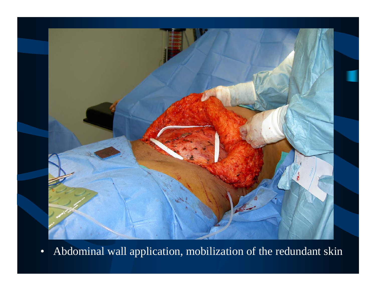

•Abdominal wall application, mobilization of the redundant skin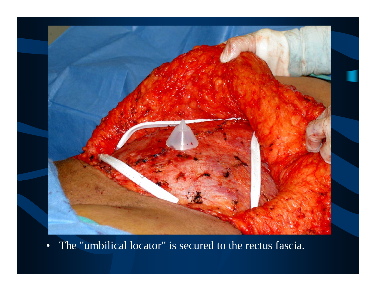

•The "umbilical locator" is secured to the rectus fascia.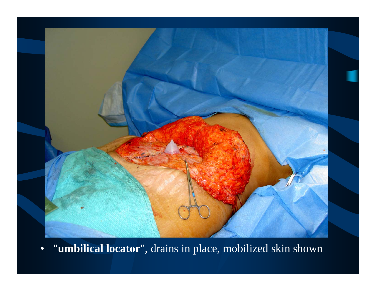

•"**umbilical locator**", drains in place, mobilized skin shown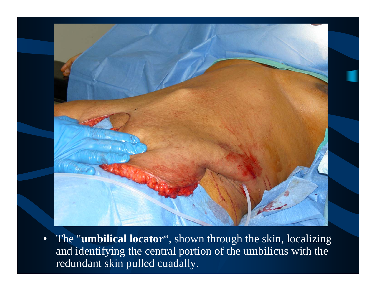

• The "**umbilical locator**", shown through the skin, localizing and identifying the central portion of the umbilicus with the redundant skin pulled cuadally.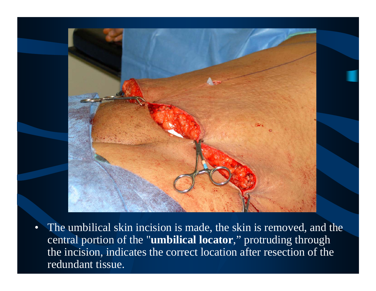

• The umbilical skin incision is made, the skin is removed, and the central portion of the "**umbilical locator**," protruding through the incision, indicates the correct location after resection of the redundant tissue.